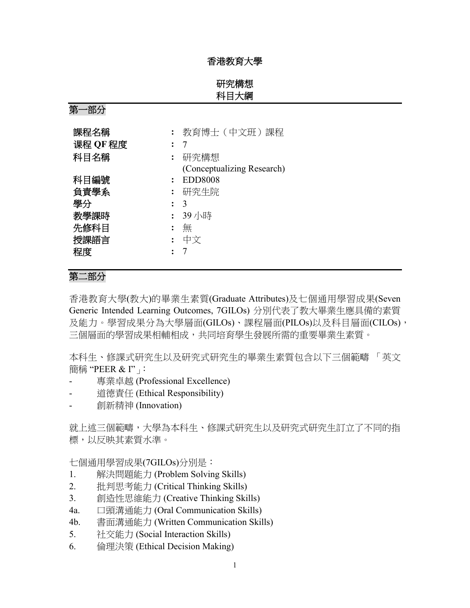#### 香港教育大學

## 研究構想 科目大綱

第一部分

| 課程名稱     |                | 教育博士 (中文班) 課程              |
|----------|----------------|----------------------------|
| 课程 OF 程度 |                | 7                          |
| 科目名稱     |                | 研究構想                       |
|          |                | (Conceptualizing Research) |
| 科目編號     |                | <b>EDD8008</b>             |
| 負責學系     |                | 研究生院                       |
| 學分       |                | 3                          |
| 教學課時     | $\ddot{\cdot}$ | 39 小時                      |
| 先修科目     |                | 無                          |
| 授課語言     | $\ddot{\cdot}$ | 中文                         |
| 程度       |                |                            |

# 第二部分

香港教育大學(教大)的畢業生素質(Graduate Attributes)及七個通用學習成果(Seven Generic Intended Learning Outcomes, 7GILOs) 分別代表了教大畢業生應具備的素質 及能力。學習成果分為大學層面(GILOs)、課程層面(PILOs)以及科目層面(CILOs), 三個層面的學習成果相輔相成,共同培育學生發展所需的重要畢業生素質。

本科生、修課式研究生以及研究式研究生的畢業生素質包含以下三個範疇 「英文 簡稱 "PEER & I"」:

- 專業卓越 (Professional Excellence)
- 道德責任 (Ethical Responsibility)
- 創新精神 (Innovation)

就上述三個範疇,大學為本科生、修課式研究生以及研究式研究生訂立了不同的指 標,以反映其素質水準。

七個通用學習成果(7GILOs)分別是:

- 1. 解決問題能力 (Problem Solving Skills)
- 2. 批判思考能力 (Critical Thinking Skills)
- 3. 創造性思維能力 (Creative Thinking Skills)
- 4a. 口頭溝通能力 (Oral Communication Skills)
- 4b. 書面溝通能力 (Written Communication Skills)
- 5. 社交能力 (Social Interaction Skills)
- 6. 倫理決策 (Ethical Decision Making)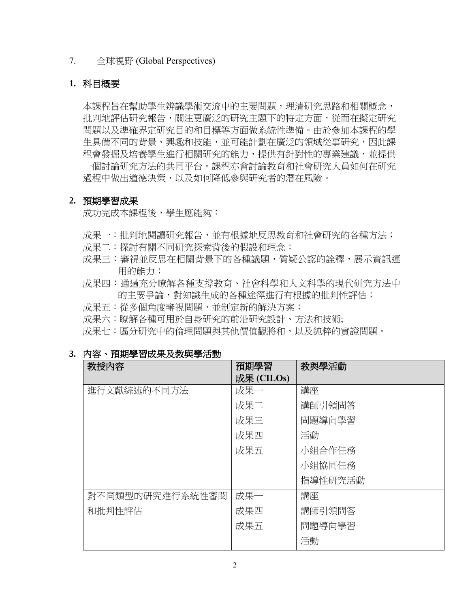### 7. 全球視野 (Global Perspectives)

## **1.** 科目概要

本課程旨在幫助學生辨識學術交流中的主要問題,理清研究思路和相關概念, 批判地評估研究報告,關注更廣泛的研究主題下的特定方面,從而在擬定研究 問題以及準確界定研究目的和目標等方面做系統性準備。由於參加本課程的學 生具備不同的背景、興趣和技能,並可能計劃在廣泛的領域從事研究,因此課 程會發掘及培養學生進行相關研究的能力,提供有針對性的專業建議,並提供 一個討論研究方法的共同平台。課程亦會討論教育和社會研究人員如何在研究 過程中做出道德決策,以及如何降低參與研究者的潛在風險。

### **2.** 預期學習成果

成功完成本課程後,學生應能夠:

- 成果一:批判地閱讀研究報告,並有根據地反思教育和社會研究的各種方法;
- 成果二: 探討有關不同研究探索背後的假設和理念;
- 成果三:審視並反思在相關背景下的各種議題,質疑公認的詮釋,展示資訊運 用的能力;
- 成果四:通過充分瞭解各種支撐教育、社會科學和人文科學的現代研究方法中 的主要爭論,對知識生成的各種途徑進行有根據的批判性評估;
- 成果五:從多個角度審視問題,並制定新的解決方案;
- 成果六:瞭解各種可用於自身研究的前沿研究設計、方法和技術;

成果七:區分研究中的倫理問題與其他價值觀將和,以及純粹的實證問題。

| J. | 内容 | 預期學習成果及教與學活動 |  |
|----|----|--------------|--|
|    |    |              |  |

| 教授内容            | 預期學習       | 教與學活動   |  |
|-----------------|------------|---------|--|
|                 | 成果 (CILOs) |         |  |
| 進行文獻綜述的不同方法     | 成果一        | 講座      |  |
|                 | 成果二        | 講師引領問答  |  |
|                 | 成果三        | 問題導向學習  |  |
|                 | 成果四        | 活動      |  |
|                 | 成果五        | 小組合作任務  |  |
|                 |            | 小組協同任務  |  |
|                 |            | 指導性研究活動 |  |
| 對不同類型的研究進行系統性審閱 | 成果一        | 講座      |  |
| 和批判性評估          | 成果四        | 講師引領問答  |  |
|                 | 成果五        | 問題導向學習  |  |
|                 |            | 活動      |  |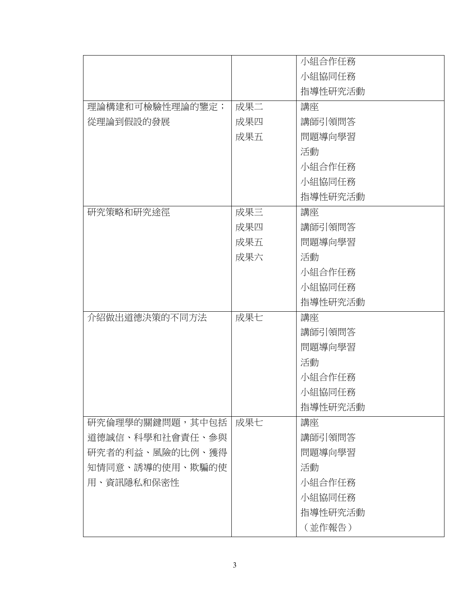|                 |     | 小組合作任務  |
|-----------------|-----|---------|
|                 |     | 小組協同任務  |
|                 |     | 指導性研究活動 |
| 理論構建和可檢驗性理論的鑒定; | 成果二 | 講座      |
| 從理論到假設的發展       | 成果四 | 講師引領問答  |
|                 | 成果五 | 問題導向學習  |
|                 |     | 活動      |
|                 |     | 小組合作任務  |
|                 |     | 小組協同任務  |
|                 |     | 指導性研究活動 |
| 研究策略和研究途徑       | 成果三 | 講座      |
|                 | 成果四 | 講師引領問答  |
|                 | 成果五 | 問題導向學習  |
|                 | 成果六 | 活動      |
|                 |     | 小組合作任務  |
|                 |     | 小組協同任務  |
|                 |     | 指導性研究活動 |
| 介紹做出道德決策的不同方法   | 成果七 | 講座      |
|                 |     | 講師引領問答  |
|                 |     | 問題導向學習  |
|                 |     | 活動      |
|                 |     | 小組合作任務  |
|                 |     | 小組協同任務  |
|                 |     | 指導性研究活動 |
| 研究倫理學的關鍵問題,其中包括 | 成果七 | 講座      |
| 道德誠信、科學和社會責任、參與 |     | 講師引領問答  |
| 研究者的利益、風險的比例、獲得 |     | 問題導向學習  |
| 知情同意、誘導的使用、欺騙的使 |     | 活動      |
| 用、資訊隱私和保密性      |     | 小組合作任務  |
|                 |     | 小組協同任務  |
|                 |     | 指導性研究活動 |
|                 |     | (並作報告)  |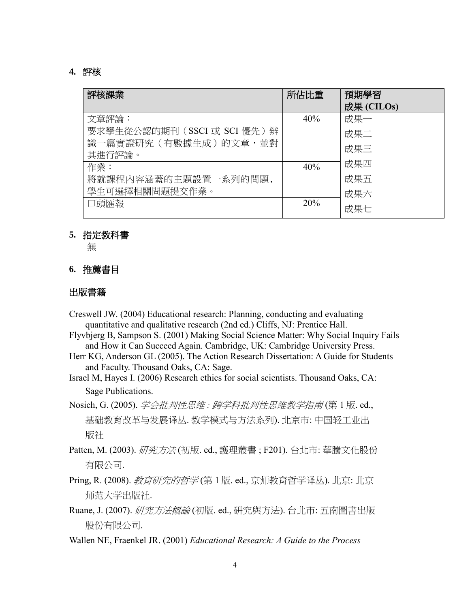### **4.** 評核

| 評核課業                         | 所佔比重 | 預期學習<br>成果 (CILOs) |
|------------------------------|------|--------------------|
| 文章評論:                        | 40%  | 成果一                |
| 要求學生從公認的期刊 (SSCI 或 SCI 優先) 辨 |      | 成果二                |
| 識一篇實證研究(有數據生成)的文章,並對         |      | 成果三                |
| 其進行評論。                       |      |                    |
| 作業:                          | 40%  | 成果四                |
| 將就課程內容涵蓋的主題設置一系列的問題,         |      | 成果五                |
| 學生可選擇相關問題提交作業。               |      | 成果六                |
| 口頭匯報                         | 20%  | 成果七                |

#### **5.** 指定教科書

無

### **6.** 推薦書目

## 出版書籍

- Creswell JW. (2004) Educational research: Planning, conducting and evaluating quantitative and qualitative research (2nd ed.) Cliffs, NJ: Prentice Hall.
- Flyvbjerg B, Sampson S. (2001) Making Social Science Matter: Why Social Inquiry Fails and How it Can Succeed Again. Cambridge, UK: Cambridge University Press.
- Herr KG, Anderson GL (2005). The Action Research Dissertation: A Guide for Students and Faculty. Thousand Oaks, CA: Sage.
- Israel M, Hayes I. (2006) Research ethics for social scientists. Thousand Oaks, CA: Sage Publications.
- Nosich, G. (2005). 学会批判性思维 *:* 跨学科批判性思维教学指南 (第 1 版. ed., 基础教育改革与发展译丛. 教学模式与方法系列). 北京市: 中国轻工业出 版社
- Patten, M. (2003). 研究方法 (初版. ed., 護理叢書; F201). 台北市: 華騰文化股份 有限公司.
- Pring, R. (2008). *教育研究的哲学* (第 1 版. ed., 京师教育哲学译丛). 北京: 北京 师范大学出版社.
- Ruane, J. (2007). *研究方法概論* (初版. ed., 研究與方法). 台北市: 五南圖書出版 股份有限公司.
- Wallen NE, Fraenkel JR. (2001) *Educational Research: A Guide to the Process*